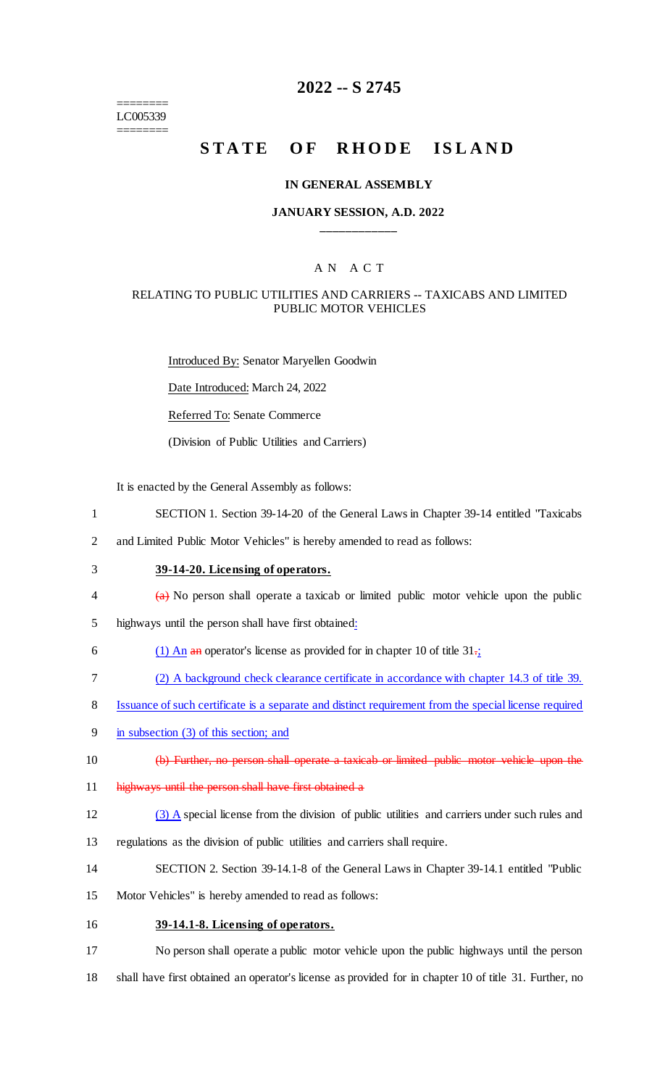======== LC005339 ========

# **2022 -- S 2745**

# **STATE OF RHODE ISLAND**

#### **IN GENERAL ASSEMBLY**

#### **JANUARY SESSION, A.D. 2022 \_\_\_\_\_\_\_\_\_\_\_\_**

### A N A C T

#### RELATING TO PUBLIC UTILITIES AND CARRIERS -- TAXICABS AND LIMITED PUBLIC MOTOR VEHICLES

Introduced By: Senator Maryellen Goodwin

Date Introduced: March 24, 2022

Referred To: Senate Commerce

(Division of Public Utilities and Carriers)

It is enacted by the General Assembly as follows:

- 1 SECTION 1. Section 39-14-20 of the General Laws in Chapter 39-14 entitled "Taxicabs
- 2 and Limited Public Motor Vehicles" is hereby amended to read as follows:
- 3 **39-14-20. Licensing of operators.**
- 4 (a) No person shall operate a taxicab or limited public motor vehicle upon the public
- 5 highways until the person shall have first obtained:
- 6 (1) An an operator's license as provided for in chapter 10 of title  $31\frac{1}{2}$
- 7 (2) A background check clearance certificate in accordance with chapter 14.3 of title 39.
- 8 Issuance of such certificate is a separate and distinct requirement from the special license required
- 9 in subsection (3) of this section; and
- 10 (b) Further, no person shall operate a taxicab or limited public motor vehicle upon the
- 11 highways until the person shall have first obtained a
- 12 (3) A special license from the division of public utilities and carriers under such rules and
- 13 regulations as the division of public utilities and carriers shall require.
- 14 SECTION 2. Section 39-14.1-8 of the General Laws in Chapter 39-14.1 entitled "Public
- 15 Motor Vehicles" is hereby amended to read as follows:
- 16 **39-14.1-8. Licensing of operators.**

17 No person shall operate a public motor vehicle upon the public highways until the person 18 shall have first obtained an operator's license as provided for in chapter 10 of title 31. Further, no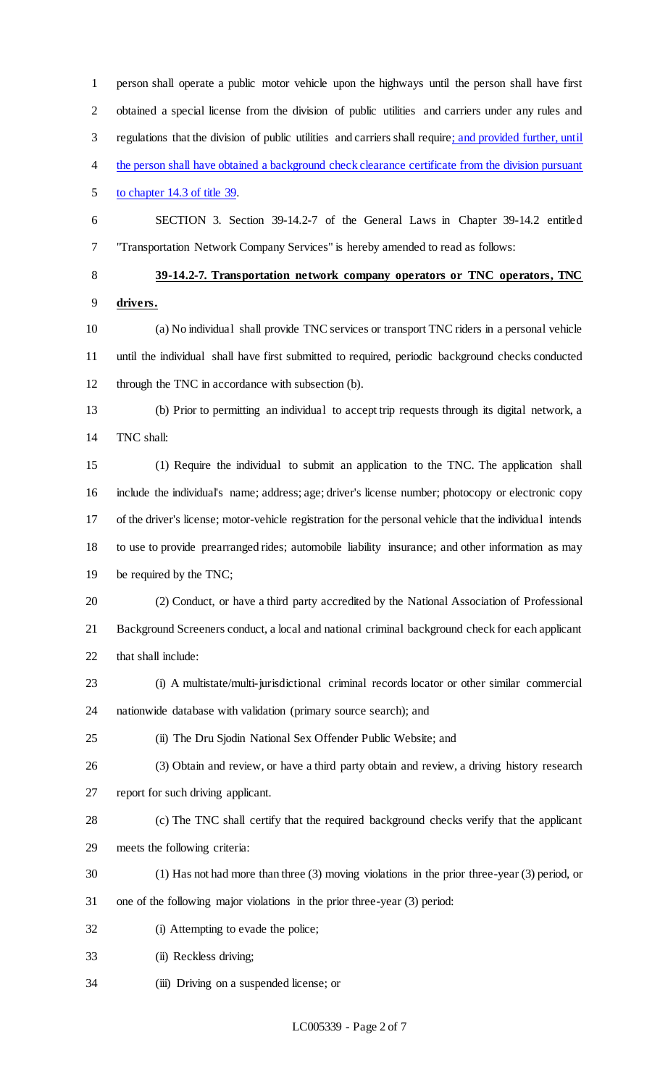person shall operate a public motor vehicle upon the highways until the person shall have first obtained a special license from the division of public utilities and carriers under any rules and regulations that the division of public utilities and carriers shall require; and provided further, until 4 the person shall have obtained a background check clearance certificate from the division pursuant to chapter 14.3 of title 39. SECTION 3. Section 39-14.2-7 of the General Laws in Chapter 39-14.2 entitled "Transportation Network Company Services" is hereby amended to read as follows: **39-14.2-7. Transportation network company operators or TNC operators, TNC drivers.** (a) No individual shall provide TNC services or transport TNC riders in a personal vehicle until the individual shall have first submitted to required, periodic background checks conducted through the TNC in accordance with subsection (b). (b) Prior to permitting an individual to accept trip requests through its digital network, a TNC shall: (1) Require the individual to submit an application to the TNC. The application shall include the individual's name; address; age; driver's license number; photocopy or electronic copy of the driver's license; motor-vehicle registration for the personal vehicle that the individual intends to use to provide prearranged rides; automobile liability insurance; and other information as may be required by the TNC; (2) Conduct, or have a third party accredited by the National Association of Professional Background Screeners conduct, a local and national criminal background check for each applicant that shall include: (i) A multistate/multi-jurisdictional criminal records locator or other similar commercial nationwide database with validation (primary source search); and (ii) The Dru Sjodin National Sex Offender Public Website; and (3) Obtain and review, or have a third party obtain and review, a driving history research report for such driving applicant. (c) The TNC shall certify that the required background checks verify that the applicant meets the following criteria: (1) Has not had more than three (3) moving violations in the prior three-year (3) period, or one of the following major violations in the prior three-year (3) period: (i) Attempting to evade the police; (ii) Reckless driving; (iii) Driving on a suspended license; or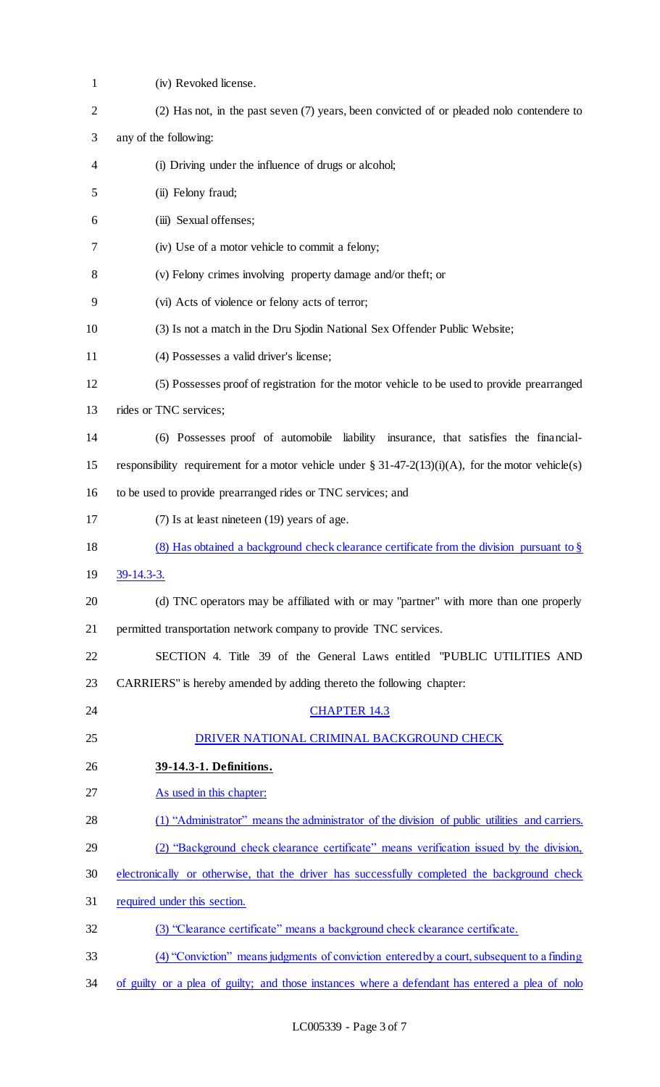| $\mathbf{1}$   | (iv) Revoked license.                                                                                  |
|----------------|--------------------------------------------------------------------------------------------------------|
| $\overline{2}$ | (2) Has not, in the past seven (7) years, been convicted of or pleaded not contendere to               |
| 3              | any of the following:                                                                                  |
| 4              | (i) Driving under the influence of drugs or alcohol;                                                   |
| 5              | (ii) Felony fraud;                                                                                     |
| 6              | (iii) Sexual offenses;                                                                                 |
| 7              | (iv) Use of a motor vehicle to commit a felony;                                                        |
| 8              | (v) Felony crimes involving property damage and/or theft; or                                           |
| 9              | (vi) Acts of violence or felony acts of terror;                                                        |
| 10             | (3) Is not a match in the Dru Sjodin National Sex Offender Public Website;                             |
| 11             | (4) Possesses a valid driver's license;                                                                |
| 12             | (5) Possesses proof of registration for the motor vehicle to be used to provide prearranged            |
| 13             | rides or TNC services;                                                                                 |
| 14             | (6) Possesses proof of automobile liability insurance, that satisfies the financial-                   |
| 15             | responsibility requirement for a motor vehicle under $\S 31-47-2(13)(i)(A)$ , for the motor vehicle(s) |
| 16             | to be used to provide prearranged rides or TNC services; and                                           |
| 17             | (7) Is at least nineteen (19) years of age.                                                            |
| 18             | (8) Has obtained a background check clearance certificate from the division pursuant to $\S$           |
| 19             | $39-14.3-3.$                                                                                           |
| 20             | (d) TNC operators may be affiliated with or may "partner" with more than one properly                  |
| 21             | permitted transportation network company to provide TNC services.                                      |
| 22             | SECTION 4. Title 39 of the General Laws entitled "PUBLIC UTILITIES AND                                 |
| 23             | CARRIERS" is hereby amended by adding thereto the following chapter:                                   |
| 24             | <b>CHAPTER 14.3</b>                                                                                    |
| 25             | DRIVER NATIONAL CRIMINAL BACKGROUND CHECK                                                              |
| 26             | 39-14.3-1. Definitions.                                                                                |
| 27             | As used in this chapter:                                                                               |
| 28             | (1) "Administrator" means the administrator of the division of public utilities and carriers.          |
| 29             | (2) "Background check clearance certificate" means verification issued by the division,                |
| 30             | electronically or otherwise, that the driver has successfully completed the background check           |
| 31             | required under this section.                                                                           |
| 32             | (3) "Clearance certificate" means a background check clearance certificate.                            |
| 33             | (4) "Conviction" means judgments of conviction entered by a court, subsequent to a finding             |
| 34             | of guilty or a plea of guilty; and those instances where a defendant has entered a plea of nolo        |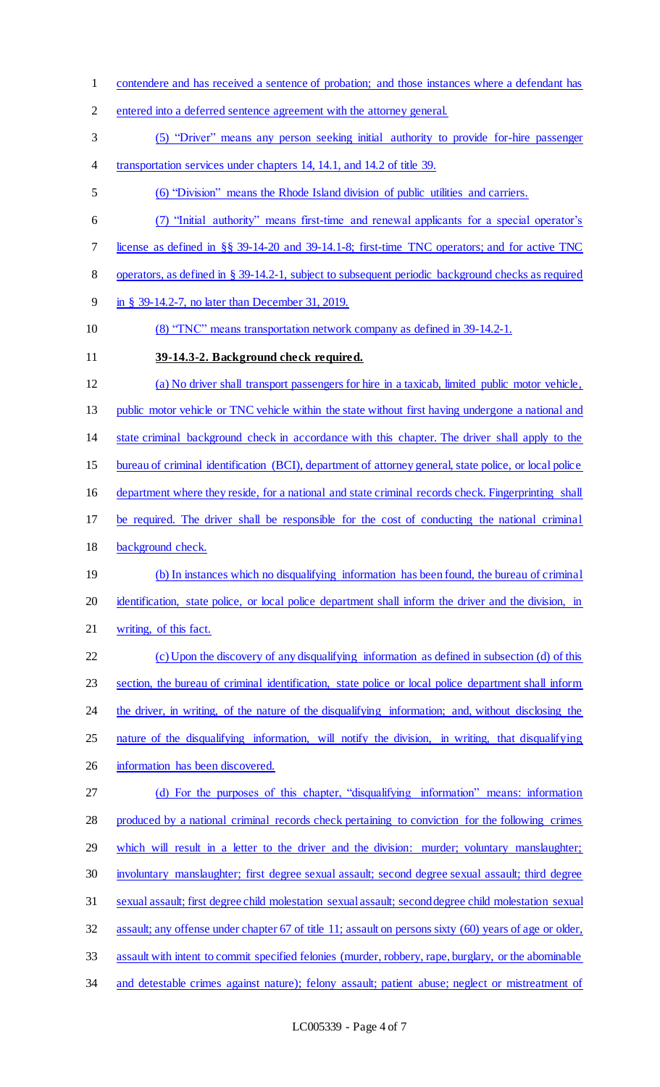- contendere and has received a sentence of probation; and those instances where a defendant has
- entered into a deferred sentence agreement with the attorney general.
- (5) "Driver" means any person seeking initial authority to provide for-hire passenger
- 4 transportation services under chapters 14, 14.1, and 14.2 of title 39.
- (6) "Division" means the Rhode Island division of public utilities and carriers.
- (7) "Initial authority" means first-time and renewal applicants for a special operator's
- license as defined in §§ 39-14-20 and 39-14.1-8; first-time TNC operators; and for active TNC
- operators, as defined in § 39-14.2-1, subject to subsequent periodic background checks as required
- in § 39-14.2-7, no later than December 31, 2019.
- 10 (8) "TNC" means transportation network company as defined in 39-14.2-1.
- 

## **39-14.3-2. Background check required.**

 (a) No driver shall transport passengers for hire in a taxicab, limited public motor vehicle, 13 public motor vehicle or TNC vehicle within the state without first having undergone a national and state criminal background check in accordance with this chapter. The driver shall apply to the 15 bureau of criminal identification (BCI), department of attorney general, state police, or local police department where they reside, for a national and state criminal records check. Fingerprinting shall be required. The driver shall be responsible for the cost of conducting the national criminal background check. 19 (b) In instances which no disqualifying information has been found, the bureau of criminal identification, state police, or local police department shall inform the driver and the division, in

writing, of this fact.

 (c)Upon the discovery of any disqualifying information as defined in subsection (d) of this 23 section, the bureau of criminal identification, state police or local police department shall inform 24 the driver, in writing, of the nature of the disqualifying information; and, without disclosing the nature of the disqualifying information, will notify the division, in writing, that disqualifying information has been discovered. (d) For the purposes of this chapter, "disqualifying information" means: information

 produced by a national criminal records check pertaining to conviction for the following crimes which will result in a letter to the driver and the division: murder; voluntary manslaughter; involuntary manslaughter; first degree sexual assault; second degree sexual assault; third degree sexual assault; first degree child molestation sexual assault; second degree child molestation sexual assault; any offense under chapter 67 of title 11; assault on persons sixty (60) years of age or older, assault with intent to commit specified felonies (murder, robbery, rape, burglary, or the abominable 34 and detestable crimes against nature); felony assault; patient abuse; neglect or mistreatment of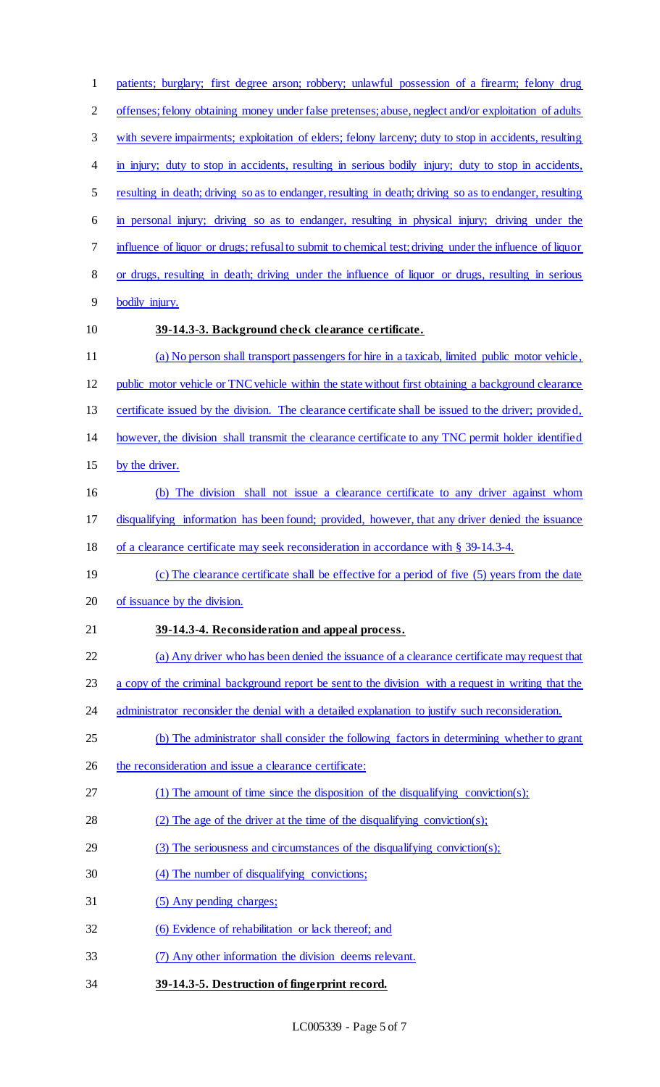| $\mathbf{1}$   | patients; burglary; first degree arson; robbery; unlawful possession of a firearm; felony drug          |
|----------------|---------------------------------------------------------------------------------------------------------|
| $\mathbf{2}$   | offenses; felony obtaining money under false pretenses; abuse, neglect and/or exploitation of adults    |
| 3              | with severe impairments; exploitation of elders; felony larceny; duty to stop in accidents, resulting   |
| 4              | in injury; duty to stop in accidents, resulting in serious bodily injury; duty to stop in accidents,    |
| 5              | resulting in death; driving so as to endanger, resulting in death; driving so as to endanger, resulting |
| 6              | in personal injury; driving so as to endanger, resulting in physical injury; driving under the          |
| 7              | influence of liquor or drugs; refusal to submit to chemical test; driving under the influence of liquor |
| 8              | or drugs, resulting in death; driving under the influence of liquor or drugs, resulting in serious      |
| $\overline{9}$ | bodily injury.                                                                                          |
| 10             | 39-14.3-3. Background check clearance certificate.                                                      |
| 11             | (a) No person shall transport passengers for hire in a taxicab, limited public motor vehicle,           |
| 12             | public motor vehicle or TNC vehicle within the state without first obtaining a background clearance     |
| 13             | certificate issued by the division. The clearance certificate shall be issued to the driver; provided,  |
| 14             | however, the division shall transmit the clearance certificate to any TNC permit holder identified      |
| 15             | by the driver.                                                                                          |
| 16             | (b) The division shall not issue a clearance certificate to any driver against whom                     |
| 17             | disqualifying information has been found; provided, however, that any driver denied the issuance        |
| 18             | of a clearance certificate may seek reconsideration in accordance with $\S$ 39-14.3-4.                  |
| 19             | (c) The clearance certificate shall be effective for a period of five (5) years from the date           |
| 20             | of issuance by the division.                                                                            |
| 21             | 39-14.3-4. Reconsideration and appeal process.                                                          |
| 22             | (a) Any driver who has been denied the issuance of a clearance certificate may request that             |
| 23             | a copy of the criminal background report be sent to the division with a request in writing that the     |
| 24             | administrator reconsider the denial with a detailed explanation to justify such reconsideration.        |
| 25             | (b) The administrator shall consider the following factors in determining whether to grant              |
| 26             | the reconsideration and issue a clearance certificate:                                                  |
| 27             | (1) The amount of time since the disposition of the disqualifying conviction(s);                        |
| 28             | (2) The age of the driver at the time of the disqualifying conviction(s);                               |
| 29             | $(3)$ The seriousness and circumstances of the disqualifying conviction(s);                             |
| 30             | (4) The number of disqualifying convictions;                                                            |
| 31             | (5) Any pending charges;                                                                                |
| 32             | (6) Evidence of rehabilitation or lack thereof; and                                                     |
| 33             | (7) Any other information the division deems relevant.                                                  |
| 34             | 39-14.3-5. Destruction of fingerprint record.                                                           |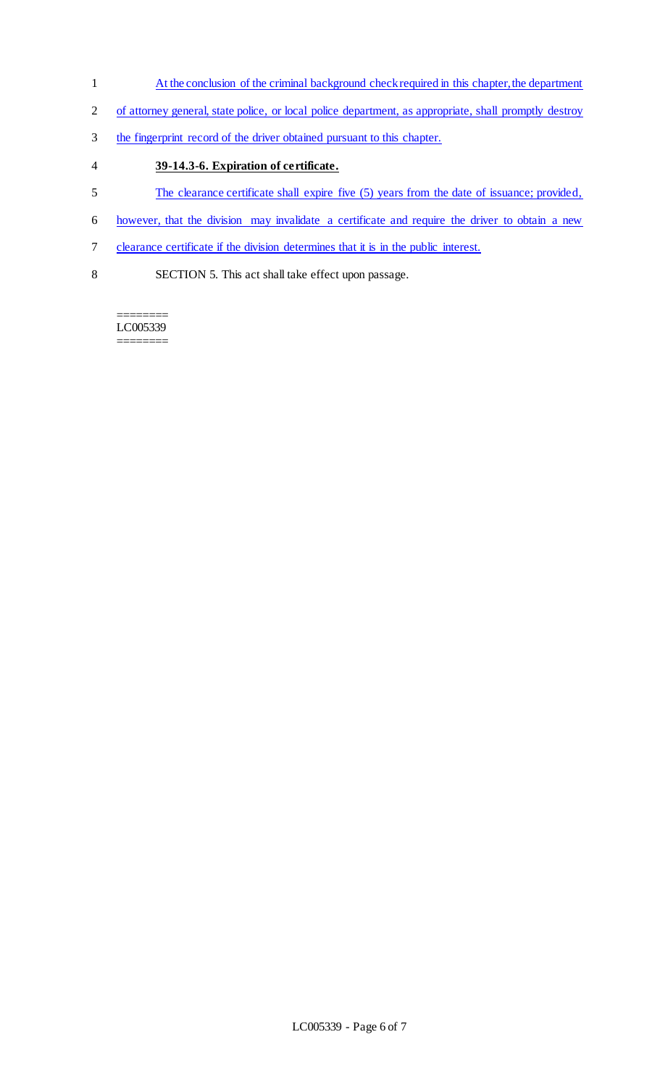- 1 At the conclusion of the criminal background check required in this chapter, the department
- 2 of attorney general, state police, or local police department, as appropriate, shall promptly destroy
- 3 the fingerprint record of the driver obtained pursuant to this chapter.
- 4 **39-14.3-6. Expiration of certificate.**
- 5 The clearance certificate shall expire five (5) years from the date of issuance; provided,
- 6 however, that the division may invalidate a certificate and require the driver to obtain a new
- 7 clearance certificate if the division determines that it is in the public interest.
- 8 SECTION 5. This act shall take effect upon passage.

======== LC005339 ========